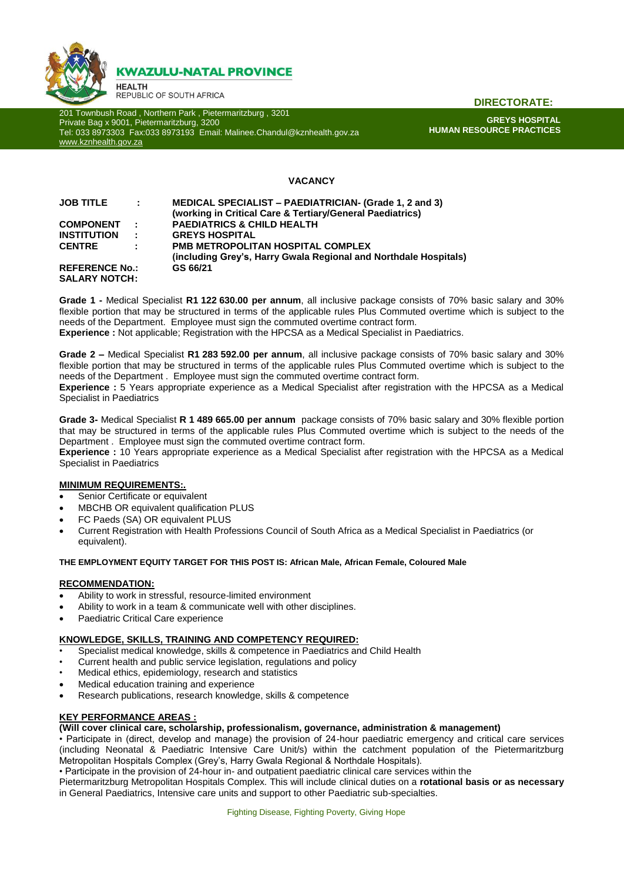

201 Townbush Road , Northern Park , Pietermaritzburg , 3201 Private Bag x 9001, Pietermaritzburg, 3200 Tel: 033 8973303 Fax:033 8973193 Email: Malinee.Chandul@kznhealth.gov.za [www.kznhealth.gov.za](http://www.kznhealth.gov.za/)

**DIRECTORATE:**

**GREYS HOSPITAL HUMAN RESOURCE PRACTICES**

# **VACANCY**

| <b>JOB TITLE</b>      | $\sim 100$                  | <b>MEDICAL SPECIALIST – PAEDIATRICIAN- (Grade 1, 2 and 3)</b>    |
|-----------------------|-----------------------------|------------------------------------------------------------------|
|                       |                             | (working in Critical Care & Tertiary/General Paediatrics)        |
| <b>COMPONENT</b>      | $\mathbb{R}^n$              | <b>PAEDIATRICS &amp; CHILD HEALTH</b>                            |
| <b>INSTITUTION</b>    | $\mathcal{L}_{\mathcal{L}}$ | <b>GREYS HOSPITAL</b>                                            |
| <b>CENTRE</b>         | ÷.                          | <b>PMB METROPOLITAN HOSPITAL COMPLEX</b>                         |
|                       |                             | (including Grey's, Harry Gwala Regional and Northdale Hospitals) |
| <b>REFERENCE No.:</b> |                             | GS 66/21                                                         |
| <b>SALARY NOTCH:</b>  |                             |                                                                  |

**Grade 1 -** Medical Specialist **R1 122 630.00 per annum**, all inclusive package consists of 70% basic salary and 30% flexible portion that may be structured in terms of the applicable rules Plus Commuted overtime which is subject to the needs of the Department. Employee must sign the commuted overtime contract form. **Experience :** Not applicable; Registration with the HPCSA as a Medical Specialist in Paediatrics.

**Grade 2 –** Medical Specialist **R1 283 592.00 per annum**, all inclusive package consists of 70% basic salary and 30% flexible portion that may be structured in terms of the applicable rules Plus Commuted overtime which is subject to the needs of the Department . Employee must sign the commuted overtime contract form. **Experience :** 5 Years appropriate experience as a Medical Specialist after registration with the HPCSA as a Medical Specialist in Paediatrics

**Grade 3-** Medical Specialist **R 1 489 665.00 per annum** package consists of 70% basic salary and 30% flexible portion that may be structured in terms of the applicable rules Plus Commuted overtime which is subject to the needs of the Department . Employee must sign the commuted overtime contract form.

**Experience :** 10 Years appropriate experience as a Medical Specialist after registration with the HPCSA as a Medical Specialist in Paediatrics

### **MINIMUM REQUIREMENTS:.**

- Senior Certificate or equivalent
- MBCHB OR equivalent qualification PLUS
- FC Paeds (SA) OR equivalent PLUS
- Current Registration with Health Professions Council of South Africa as a Medical Specialist in Paediatrics (or equivalent).

### **THE EMPLOYMENT EQUITY TARGET FOR THIS POST IS: African Male, African Female, Coloured Male**

### **RECOMMENDATION:**

- Ability to work in stressful, resource-limited environment
- Ability to work in a team & communicate well with other disciplines.
- Paediatric Critical Care experience

### **KNOWLEDGE, SKILLS, TRAINING AND COMPETENCY REQUIRED:**

- Specialist medical knowledge, skills & competence in Paediatrics and Child Health
- Current health and public service legislation, regulations and policy
- Medical ethics, epidemiology, research and statistics
- Medical education training and experience
- Research publications, research knowledge, skills & competence

### **KEY PERFORMANCE AREAS :**

# **(Will cover clinical care, scholarship, professionalism, governance, administration & management)**

• Participate in (direct, develop and manage) the provision of 24-hour paediatric emergency and critical care services (including Neonatal & Paediatric Intensive Care Unit/s) within the catchment population of the Pietermaritzburg Metropolitan Hospitals Complex (Grey's, Harry Gwala Regional & Northdale Hospitals).

• Participate in the provision of 24-hour in- and outpatient paediatric clinical care services within the

Pietermaritzburg Metropolitan Hospitals Complex. This will include clinical duties on a **rotational basis or as necessary** in General Paediatrics, Intensive care units and support to other Paediatric sub-specialties.